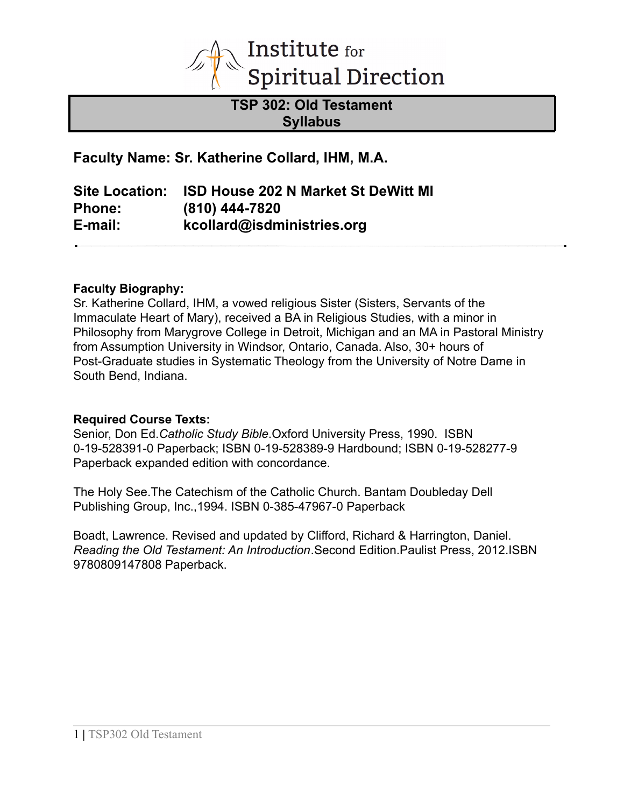

**TSP 302: Old Testament Syllabus**

**Faculty Name: Sr. Katherine Collard, IHM, M.A.**

**Site Location: ISD House 202 N Market St DeWitt MI Phone: (810) 444-7820 E-mail: kcollard@isdministries.org**

### **Faculty Biography:**

Sr. Katherine Collard, IHM, a vowed religious Sister (Sisters, Servants of the Immaculate Heart of Mary), received a BA in Religious Studies, with a minor in Philosophy from Marygrove College in Detroit, Michigan and an MA in Pastoral Ministry from Assumption University in Windsor, Ontario, Canada. Also, 30+ hours of Post-Graduate studies in Systematic Theology from the University of Notre Dame in South Bend, Indiana.

#### **Required Course Texts:**

Senior, Don Ed.*Catholic Study Bible*.Oxford University Press, 1990. ISBN 0-19-528391-0 Paperback; ISBN 0-19-528389-9 Hardbound; ISBN 0-19-528277-9 Paperback expanded edition with concordance.

The Holy See.The Catechism of the Catholic Church. Bantam Doubleday Dell Publishing Group, Inc.,1994. ISBN 0-385-47967-0 Paperback

Boadt, Lawrence. Revised and updated by Clifford, Richard & Harrington, Daniel. *Reading the Old Testament: An Introduction*.Second Edition.Paulist Press, 2012.ISBN 9780809147808 Paperback.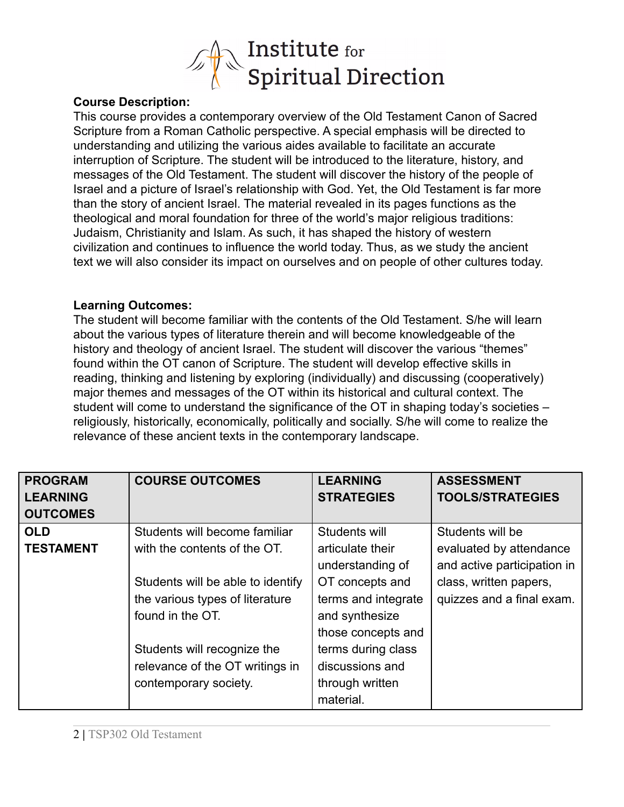

### **Course Description:**

This course provides a contemporary overview of the Old Testament Canon of Sacred Scripture from a Roman Catholic perspective. A special emphasis will be directed to understanding and utilizing the various aides available to facilitate an accurate interruption of Scripture. The student will be introduced to the literature, history, and messages of the Old Testament. The student will discover the history of the people of Israel and a picture of Israel's relationship with God. Yet, the Old Testament is far more than the story of ancient Israel. The material revealed in its pages functions as the theological and moral foundation for three of the world's major religious traditions: Judaism, Christianity and Islam. As such, it has shaped the history of western civilization and continues to influence the world today. Thus, as we study the ancient text we will also consider its impact on ourselves and on people of other cultures today.

### **Learning Outcomes:**

The student will become familiar with the contents of the Old Testament. S/he will learn about the various types of literature therein and will become knowledgeable of the history and theology of ancient Israel. The student will discover the various "themes" found within the OT canon of Scripture. The student will develop effective skills in reading, thinking and listening by exploring (individually) and discussing (cooperatively) major themes and messages of the OT within its historical and cultural context. The student will come to understand the significance of the OT in shaping today's societies – religiously, historically, economically, politically and socially. S/he will come to realize the relevance of these ancient texts in the contemporary landscape.

| <b>PROGRAM</b>   | <b>COURSE OUTCOMES</b>            | <b>LEARNING</b>     | <b>ASSESSMENT</b>           |
|------------------|-----------------------------------|---------------------|-----------------------------|
| <b>LEARNING</b>  |                                   | <b>STRATEGIES</b>   | <b>TOOLS/STRATEGIES</b>     |
| <b>OUTCOMES</b>  |                                   |                     |                             |
| <b>OLD</b>       | Students will become familiar     | Students will       | Students will be            |
| <b>TESTAMENT</b> | with the contents of the OT.      | articulate their    | evaluated by attendance     |
|                  |                                   | understanding of    | and active participation in |
|                  | Students will be able to identify | OT concepts and     | class, written papers,      |
|                  | the various types of literature   | terms and integrate | quizzes and a final exam.   |
|                  | found in the OT.                  | and synthesize      |                             |
|                  |                                   | those concepts and  |                             |
|                  | Students will recognize the       | terms during class  |                             |
|                  | relevance of the OT writings in   | discussions and     |                             |
|                  | contemporary society.             | through written     |                             |
|                  |                                   | material.           |                             |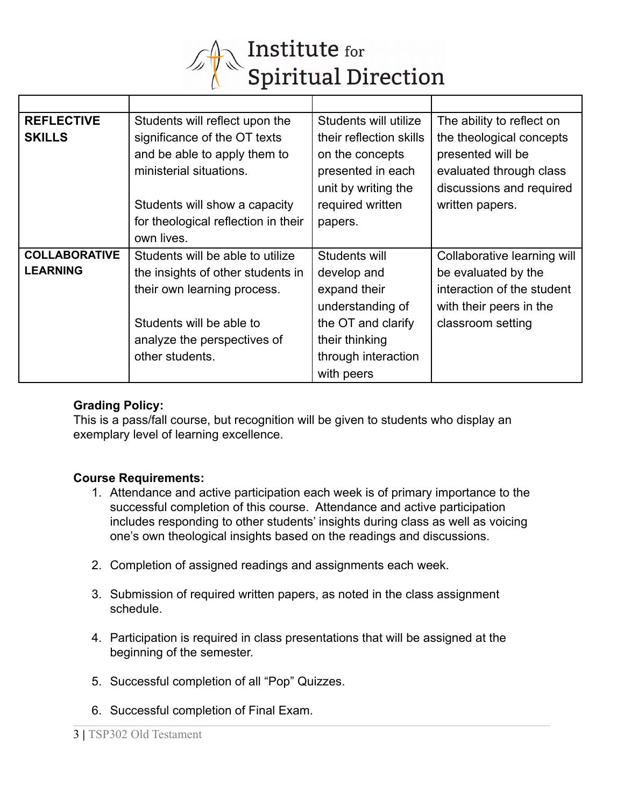

| <b>REFLECTIVE</b>    | Students will reflect upon the      | Students will utilize   | The ability to reflect on   |
|----------------------|-------------------------------------|-------------------------|-----------------------------|
| <b>SKILLS</b>        | significance of the OT texts        | their reflection skills | the theological concepts    |
|                      | and be able to apply them to        | on the concepts         | presented will be           |
|                      | ministerial situations.             | presented in each       | evaluated through class     |
|                      |                                     | unit by writing the     | discussions and required    |
|                      | Students will show a capacity       | required written        | written papers.             |
|                      | for theological reflection in their | papers.                 |                             |
|                      | own lives.                          |                         |                             |
| <b>COLLABORATIVE</b> | Students will be able to utilize    | Students will           | Collaborative learning will |
| <b>LEARNING</b>      | the insights of other students in   | develop and             | be evaluated by the         |
|                      | their own learning process.         | expand their            | interaction of the student  |
|                      |                                     | understanding of        | with their peers in the     |
|                      | Students will be able to            | the OT and clarify      | classroom setting           |
|                      | analyze the perspectives of         | their thinking          |                             |
|                      | other students.                     | through interaction     |                             |
|                      |                                     | with peers              |                             |

### **Grading Policy:**

This is a pass/fall course, but recognition will be given to students who display an exemplary level of learning excellence.

## **Course Requirements:**

- 1. Attendance and active participation each week is of primary importance to the successful completion of this course. Attendance and active participation includes responding to other students' insights during class as well as voicing one's own theological insights based on the readings and discussions.
- 2. Completion of assigned readings and assignments each week.
- 3. Submission of required written papers, as noted in the class assignment schedule.
- 4. Participation is required in class presentations that will be assigned at the beginning of the semester.
- 5. Successful completion of all "Pop" Quizzes.
- 6. Successful completion of Final Exam.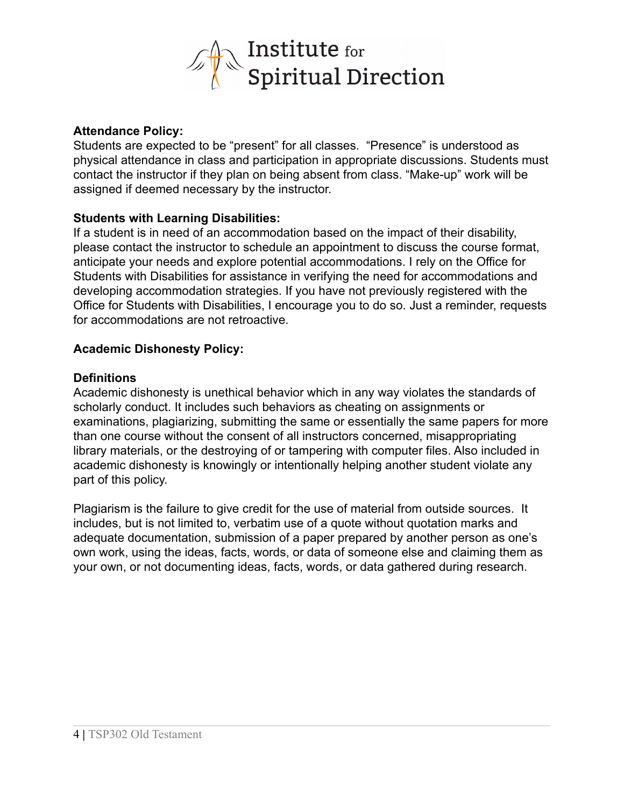

### **Attendance Policy:**

Students are expected to be "present" for all classes. "Presence" is understood as physical attendance in class and participation in appropriate discussions. Students must contact the instructor if they plan on being absent from class. "Make-up" work will be assigned if deemed necessary by the instructor.

### **Students with Learning Disabilities:**

If a student is in need of an accommodation based on the impact of their disability, please contact the instructor to schedule an appointment to discuss the course format, anticipate your needs and explore potential accommodations. I rely on the Office for Students with Disabilities for assistance in verifying the need for accommodations and developing accommodation strategies. If you have not previously registered with the Office for Students with Disabilities, I encourage you to do so. Just a reminder, requests for accommodations are not retroactive.

## **Academic Dishonesty Policy:**

#### **Definitions**

Academic dishonesty is unethical behavior which in any way violates the standards of scholarly conduct. It includes such behaviors as cheating on assignments or examinations, plagiarizing, submitting the same or essentially the same papers for more than one course without the consent of all instructors concerned, misappropriating library materials, or the destroying of or tampering with computer files. Also included in academic dishonesty is knowingly or intentionally helping another student violate any part of this policy.

Plagiarism is the failure to give credit for the use of material from outside sources. It includes, but is not limited to, verbatim use of a quote without quotation marks and adequate documentation, submission of a paper prepared by another person as one's own work, using the ideas, facts, words, or data of someone else and claiming them as your own, or not documenting ideas, facts, words, or data gathered during research.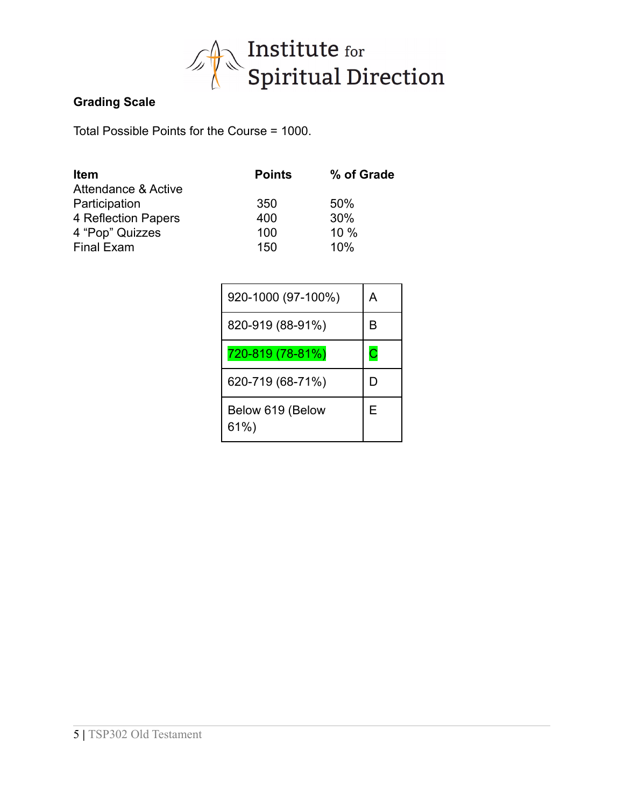

## **Grading Scale**

Total Possible Points for the Course = 1000.

| <b>Item</b>                    | <b>Points</b> | % of Grade |
|--------------------------------|---------------|------------|
| <b>Attendance &amp; Active</b> |               |            |
| Participation                  | 350           | 50%        |
| 4 Reflection Papers            | 400           | 30%        |
| 4 "Pop" Quizzes                | 100           | 10 %       |
| <b>Final Exam</b>              | 150           | 10%        |

| 920-1000 (97-100%)       | А  |
|--------------------------|----|
| 820-919 (88-91%)         | R  |
| 720-819 (78-81%)         | С  |
| 620-719 (68-71%)         | I) |
| Below 619 (Below<br>61%) | Е  |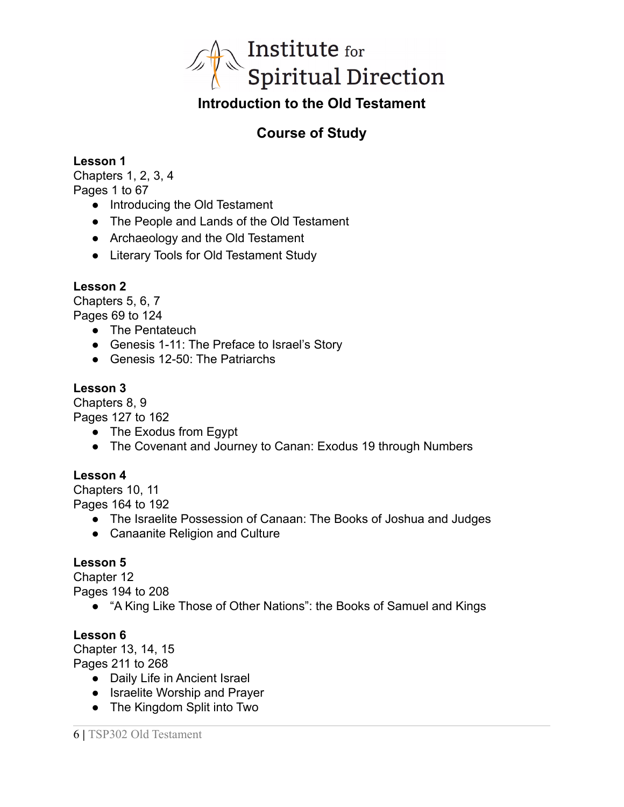

# **Introduction to the Old Testament**

# **Course of Study**

**Lesson 1**

Chapters 1, 2, 3, 4 Pages 1 to 67

- Introducing the Old Testament
- The People and Lands of the Old Testament
- Archaeology and the Old Testament
- Literary Tools for Old Testament Study

## **Lesson 2**

Chapters 5, 6, 7 Pages 69 to 124

- The Pentateuch
- Genesis 1-11: The Preface to Israel's Story
- Genesis 12-50: The Patriarchs

## **Lesson 3**

Chapters 8, 9

Pages 127 to 162

- The Exodus from Egypt
- The Covenant and Journey to Canan: Exodus 19 through Numbers

## **Lesson 4**

Chapters 10, 11 Pages 164 to 192

- The Israelite Possession of Canaan: The Books of Joshua and Judges
- Canaanite Religion and Culture

## **Lesson 5**

Chapter 12 Pages 194 to 208

● "A King Like Those of Other Nations": the Books of Samuel and Kings

## **Lesson 6**

Chapter 13, 14, 15 Pages 211 to 268

- Daily Life in Ancient Israel
- Israelite Worship and Prayer
- The Kingdom Split into Two